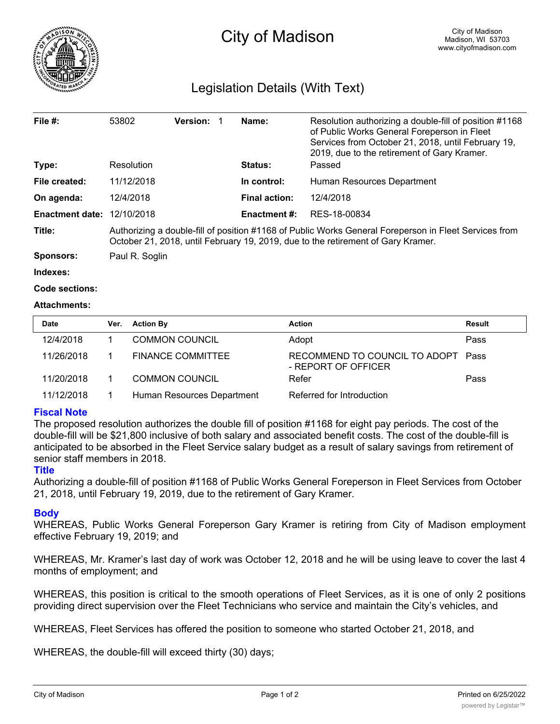

# Legislation Details (With Text)

| File $#$ :             | 53802                                                                                                                                                                                     | <b>Version:</b> | Name:                | Resolution authorizing a double-fill of position #1168<br>of Public Works General Foreperson in Fleet<br>Services from October 21, 2018, until February 19,<br>2019, due to the retirement of Gary Kramer. |  |  |
|------------------------|-------------------------------------------------------------------------------------------------------------------------------------------------------------------------------------------|-----------------|----------------------|------------------------------------------------------------------------------------------------------------------------------------------------------------------------------------------------------------|--|--|
| Type:                  | Resolution                                                                                                                                                                                |                 | <b>Status:</b>       | Passed                                                                                                                                                                                                     |  |  |
| File created:          | 11/12/2018                                                                                                                                                                                |                 | In control:          | Human Resources Department                                                                                                                                                                                 |  |  |
| On agenda:             | 12/4/2018                                                                                                                                                                                 |                 | <b>Final action:</b> | 12/4/2018                                                                                                                                                                                                  |  |  |
| <b>Enactment date:</b> | 12/10/2018                                                                                                                                                                                |                 | <b>Enactment #:</b>  | RES-18-00834                                                                                                                                                                                               |  |  |
| Title:                 | Authorizing a double-fill of position #1168 of Public Works General Foreperson in Fleet Services from<br>October 21, 2018, until February 19, 2019, due to the retirement of Gary Kramer. |                 |                      |                                                                                                                                                                                                            |  |  |
| <b>Sponsors:</b>       | Paul R. Soglin                                                                                                                                                                            |                 |                      |                                                                                                                                                                                                            |  |  |
| Indexes:               |                                                                                                                                                                                           |                 |                      |                                                                                                                                                                                                            |  |  |

```
Code sections:
```
## **Attachments:**

| <b>Date</b> | Ver. | <b>Action By</b>           | <b>Action</b>                                             | Result |
|-------------|------|----------------------------|-----------------------------------------------------------|--------|
| 12/4/2018   |      | <b>COMMON COUNCIL</b>      | Adopt                                                     | Pass   |
| 11/26/2018  |      | <b>FINANCE COMMITTEE</b>   | RECOMMEND TO COUNCIL TO ADOPT Pass<br>- REPORT OF OFFICER |        |
| 11/20/2018  |      | <b>COMMON COUNCIL</b>      | Refer                                                     | Pass   |
| 11/12/2018  |      | Human Resources Department | Referred for Introduction                                 |        |

## **Fiscal Note**

The proposed resolution authorizes the double fill of position #1168 for eight pay periods. The cost of the double-fill will be \$21,800 inclusive of both salary and associated benefit costs. The cost of the double-fill is anticipated to be absorbed in the Fleet Service salary budget as a result of salary savings from retirement of senior staff members in 2018.

### **Title**

Authorizing a double-fill of position #1168 of Public Works General Foreperson in Fleet Services from October 21, 2018, until February 19, 2019, due to the retirement of Gary Kramer.

### **Body**

WHEREAS, Public Works General Foreperson Gary Kramer is retiring from City of Madison employment effective February 19, 2019; and

WHEREAS, Mr. Kramer's last day of work was October 12, 2018 and he will be using leave to cover the last 4 months of employment; and

WHEREAS, this position is critical to the smooth operations of Fleet Services, as it is one of only 2 positions providing direct supervision over the Fleet Technicians who service and maintain the City's vehicles, and

WHEREAS, Fleet Services has offered the position to someone who started October 21, 2018, and

WHEREAS, the double-fill will exceed thirty (30) days;